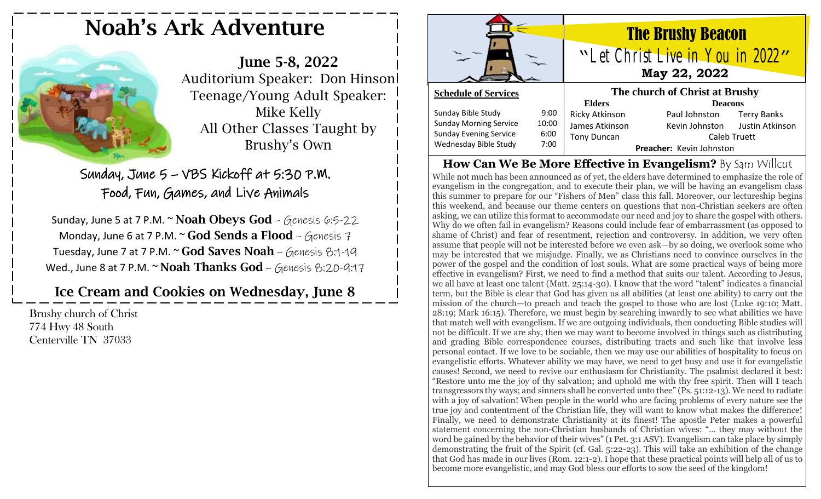# Noah's Ark Adventure

June 5-8, 2022 Auditorium Speaker: Don Hinson Teenage/Young Adult Speaker: Mike Kelly All Other Classes Taught by Brushy's Own

Sunday, June 5 – VBS Kickoff at 5:30 P.M. Food, Fun, Games, and Live Animals

Sunday, June 5 at 7 P.M.  $\sim$  Noah Obeys God – Genesis 6:5-22 Monday, June 6 at 7 P.M.  $\sim$  God Sends a Flood – Genesis 7 Tuesday, June 7 at 7 P.M. ~ God Saves Noah - Genesis 8:1-19 Wed., June 8 at 7 P.M.  $\sim$  Noah Thanks God – Genesis 8:20-9:17

Ice Cream and Cookies on Wednesday, June 8

Brushy church of Christ 774 Hwy 48 South Centerville TN 37033



## The Brushy Beacon "Let Christ Live in You in 2022" **May 22, 2022**

#### **Schedule of Services**

| Sunday Bible Study            | 9:00  |
|-------------------------------|-------|
| <b>Sunday Morning Service</b> | 10:00 |
| <b>Sunday Evening Service</b> | 6:00  |
| Wednesday Bible Study         | 7:00  |
|                               |       |

| The church of Christ at Brushy |                           |                                |  |  |
|--------------------------------|---------------------------|--------------------------------|--|--|
| <b>Elders</b>                  | <b>Deacons</b>            |                                |  |  |
| <b>Ricky Atkinson</b>          | Paul Johnston Terry Banks |                                |  |  |
| James Atkinson                 |                           | Kevin Johnston Justin Atkinson |  |  |
| <b>Tony Duncan</b>             | Caleb Truett              |                                |  |  |
|                                | Preacher: Kevin Johnston  |                                |  |  |

#### **How Can We Be More Effective in Evangelism?** By Sam Willcut While not much has been announced as of yet, the elders have determined to emphasize the role of evangelism in the congregation, and to execute their plan, we will be having an evangelism class this summer to prepare for our "Fishers of Men" class this fall. Moreover, our lectureship begins this weekend, and because our theme centers on questions that non-Christian seekers are often asking, we can utilize this format to accommodate our need and joy to share the gospel with others. Why do we often fail in evangelism? Reasons could include fear of embarrassment (as opposed to shame of Christ) and fear of resentment, rejection and controversy. In addition, we very often assume that people will not be interested before we even ask—by so doing, we overlook some who may be interested that we misjudge. Finally, we as Christians need to convince ourselves in the power of the gospel and the condition of lost souls. What are some practical ways of being more effective in evangelism? First, we need to find a method that suits our talent. According to Jesus, we all have at least one talent (Matt. 25:14-30). I know that the word "talent" indicates a financial term, but the Bible is clear that God has given us all abilities (at least one ability) to carry out the mission of the church—to preach and teach the gospel to those who are lost (Luke 19:10; Matt. 28:19; Mark 16:15). Therefore, we must begin by searching inwardly to see what abilities we have that match well with evangelism. If we are outgoing individuals, then conducting Bible studies will not be difficult. If we are shy, then we may want to become involved in things such as distributing and grading Bible correspondence courses, distributing tracts and such like that involve less personal contact. If we love to be sociable, then we may use our abilities of hospitality to focus on evangelistic efforts. Whatever ability we may have, we need to get busy and use it for evangelistic causes! Second, we need to revive our enthusiasm for Christianity. The psalmist declared it best: "Restore unto me the joy of thy salvation; and uphold me with thy free spirit. Then will I teach transgressors thy ways; and sinners shall be converted unto thee" (Ps. 51:12-13). We need to radiate with a joy of salvation! When people in the world who are facing problems of every nature see the true joy and contentment of the Christian life, they will want to know what makes the difference! Finally, we need to demonstrate Christianity at its finest! The apostle Peter makes a powerful statement concerning the non-Christian husbands of Christian wives: "… they may without the word be gained by the behavior of their wives" (1 Pet. 3:1 ASV). Evangelism can take place by simply demonstrating the fruit of the Spirit (cf. Gal. 5:22-23). This will take an exhibition of the change that God has made in our lives (Rom. 12:1-2). I hope that these practical points will help all of us to become more evangelistic, and may God bless our efforts to sow the seed of the kingdom!